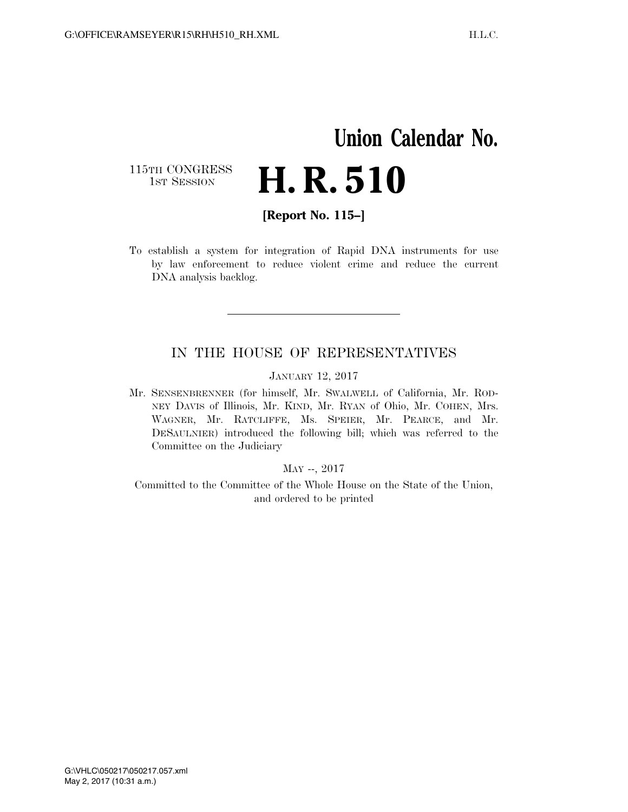## **Union Calendar No.**  115TH CONGRESS<br>1st Session H. R. 510

**[Report No. 115–]** 

To establish a system for integration of Rapid DNA instruments for use by law enforcement to reduce violent crime and reduce the current DNA analysis backlog.

## IN THE HOUSE OF REPRESENTATIVES

JANUARY 12, 2017

Mr. SENSENBRENNER (for himself, Mr. SWALWELL of California, Mr. ROD-NEY DAVIS of Illinois, Mr. KIND, Mr. RYAN of Ohio, Mr. COHEN, Mrs. WAGNER, Mr. RATCLIFFE, Ms. SPEIER, Mr. PEARCE, and Mr. DESAULNIER) introduced the following bill; which was referred to the Committee on the Judiciary

## MAY --, 2017

Committed to the Committee of the Whole House on the State of the Union, and ordered to be printed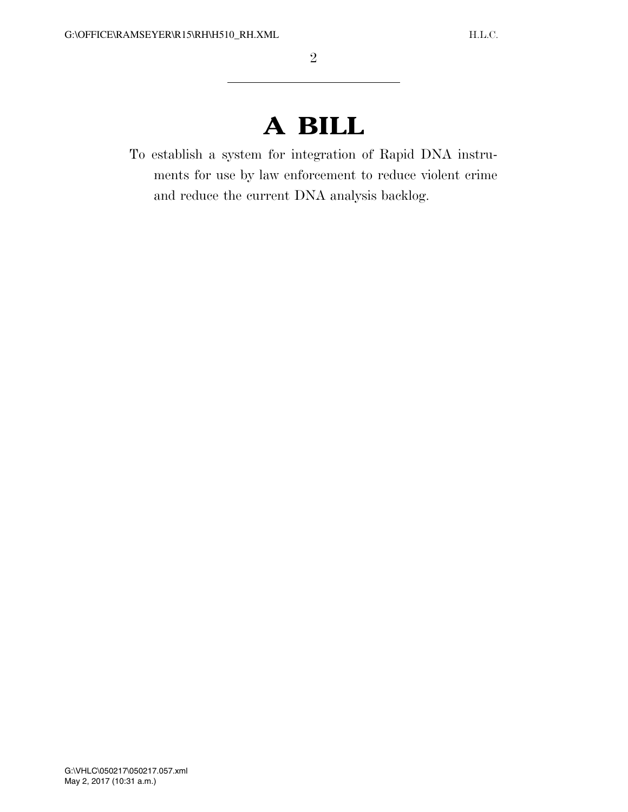## **A BILL**

To establish a system for integration of Rapid DNA instruments for use by law enforcement to reduce violent crime and reduce the current DNA analysis backlog.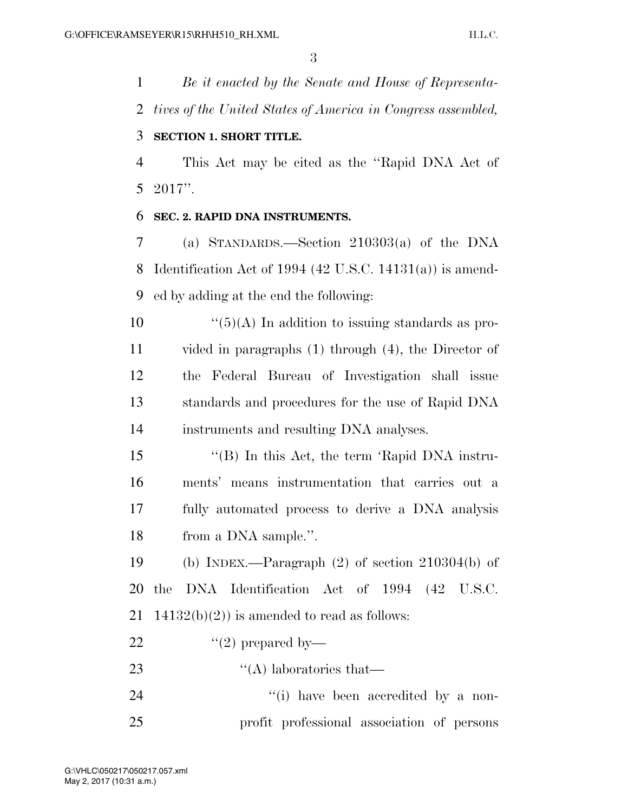*Be it enacted by the Senate and House of Representa- tives of the United States of America in Congress assembled,*  **SECTION 1. SHORT TITLE.**  This Act may be cited as the ''Rapid DNA Act of 2017''. **SEC. 2. RAPID DNA INSTRUMENTS.**  (a) STANDARDS.—Section 210303(a) of the DNA Identification Act of 1994 (42 U.S.C. 14131(a)) is amend- ed by adding at the end the following:  $\frac{10}{5}(A)$  In addition to issuing standards as pro- vided in paragraphs (1) through (4), the Director of the Federal Bureau of Investigation shall issue standards and procedures for the use of Rapid DNA instruments and resulting DNA analyses. ''(B) In this Act, the term 'Rapid DNA instru- ments' means instrumentation that carries out a fully automated process to derive a DNA analysis from a DNA sample.''. (b) INDEX.—Paragraph (2) of section 210304(b) of the DNA Identification Act of 1994 (42 U.S.C. 21 14132(b)(2)) is amended to read as follows:

- 22  $\qquad$   $\qquad$   $\qquad$   $\qquad$   $\qquad$   $\qquad$   $\qquad$   $\qquad$   $\qquad$   $\qquad$   $\qquad$   $\qquad$   $\qquad$   $\qquad$   $\qquad$   $\qquad$   $\qquad$   $\qquad$   $\qquad$   $\qquad$   $\qquad$   $\qquad$   $\qquad$   $\qquad$   $\qquad$   $\qquad$   $\qquad$   $\qquad$   $\qquad$   $\qquad$   $\qquad$   $\qquad$   $\qquad$   $\qquad$   $\qquad$   $\qquad$   $\$
- 23 ''(A) laboratories that
- 24  $\frac{1}{1}$  have been accredited by a non-profit professional association of persons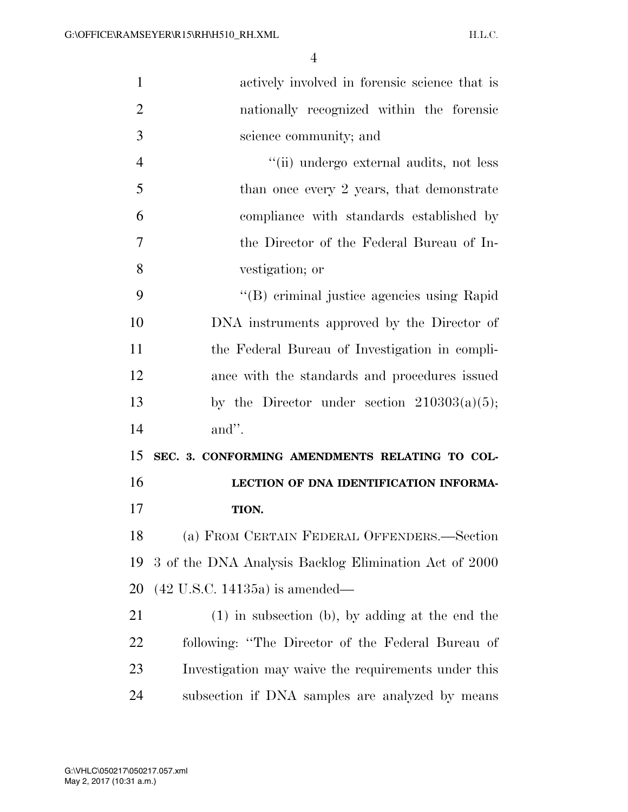| $\mathbf{1}$   | actively involved in forensic science that is         |
|----------------|-------------------------------------------------------|
| $\overline{2}$ | nationally recognized within the forensic             |
| 3              | science community; and                                |
| $\overline{4}$ | "(ii) undergo external audits, not less               |
| 5              | than once every 2 years, that demonstrate             |
| 6              | compliance with standards established by              |
| 7              | the Director of the Federal Bureau of In-             |
| 8              | vestigation; or                                       |
| 9              | "(B) criminal justice agencies using Rapid            |
| 10             | DNA instruments approved by the Director of           |
| 11             | the Federal Bureau of Investigation in compli-        |
| 12             | ance with the standards and procedures issued         |
| 13             | by the Director under section $210303(a)(5)$ ;        |
| 14             | and".                                                 |
| 15             | SEC. 3. CONFORMING AMENDMENTS RELATING TO COL-        |
| 16             | LECTION OF DNA IDENTIFICATION INFORMA-                |
| 17             |                                                       |
|                | TION.                                                 |
| 18             | (a) FROM CERTAIN FEDERAL OFFENDERS.—Section           |
| 19             | 3 of the DNA Analysis Backlog Elimination Act of 2000 |
| 20             | $(42 \text{ U.S.C. } 14135a)$ is amended—             |
| 21             | $(1)$ in subsection (b), by adding at the end the     |
| 22             | following: "The Director of the Federal Bureau of     |
| 23             | Investigation may waive the requirements under this   |